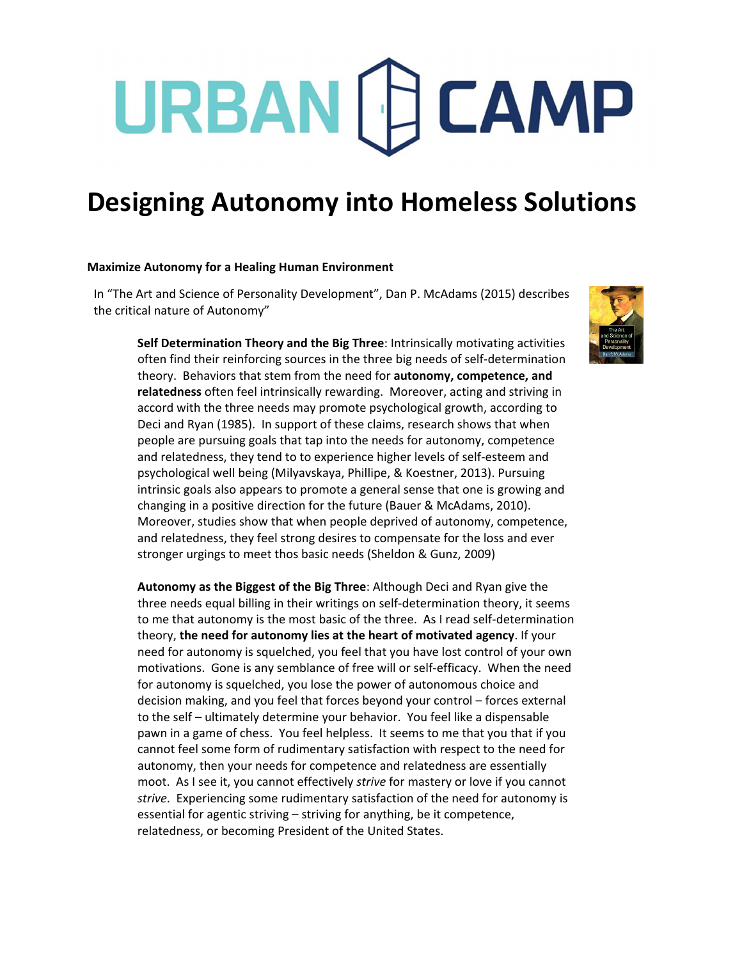# URBAN [F] CAMP

### **Designing Autonomy into Homeless Solutions**

#### **Maximize Autonomy for a Healing Human Environment**

In "The Art and Science of Personality Development", Dan P. McAdams (2015) describes the critical nature of Autonomy"

**Self Determination Theory and the Big Three**: Intrinsically motivating activities often find their reinforcing sources in the three big needs of self‐determination theory. Behaviors that stem from the need for **autonomy, competence, and relatedness** often feel intrinsically rewarding. Moreover, acting and striving in accord with the three needs may promote psychological growth, according to Deci and Ryan (1985). In support of these claims, research shows that when people are pursuing goals that tap into the needs for autonomy, competence and relatedness, they tend to to experience higher levels of self‐esteem and psychological well being (Milyavskaya, Phillipe, & Koestner, 2013). Pursuing intrinsic goals also appears to promote a general sense that one is growing and changing in a positive direction for the future (Bauer & McAdams, 2010). Moreover, studies show that when people deprived of autonomy, competence, and relatedness, they feel strong desires to compensate for the loss and ever stronger urgings to meet thos basic needs (Sheldon & Gunz, 2009)

**Autonomy as the Biggest of the Big Three**: Although Deci and Ryan give the three needs equal billing in their writings on self‐determination theory, it seems to me that autonomy is the most basic of the three. As I read self‐determination theory, **the need for autonomy lies at the heart of motivated agency**. If your need for autonomy is squelched, you feel that you have lost control of your own motivations. Gone is any semblance of free will or self-efficacy. When the need for autonomy is squelched, you lose the power of autonomous choice and decision making, and you feel that forces beyond your control – forces external to the self – ultimately determine your behavior. You feel like a dispensable pawn in a game of chess. You feel helpless. It seems to me that you that if you cannot feel some form of rudimentary satisfaction with respect to the need for autonomy, then your needs for competence and relatedness are essentially moot. As I see it, you cannot effectively *strive* for mastery or love if you cannot *strive*. Experiencing some rudimentary satisfaction of the need for autonomy is essential for agentic striving – striving for anything, be it competence, relatedness, or becoming President of the United States.

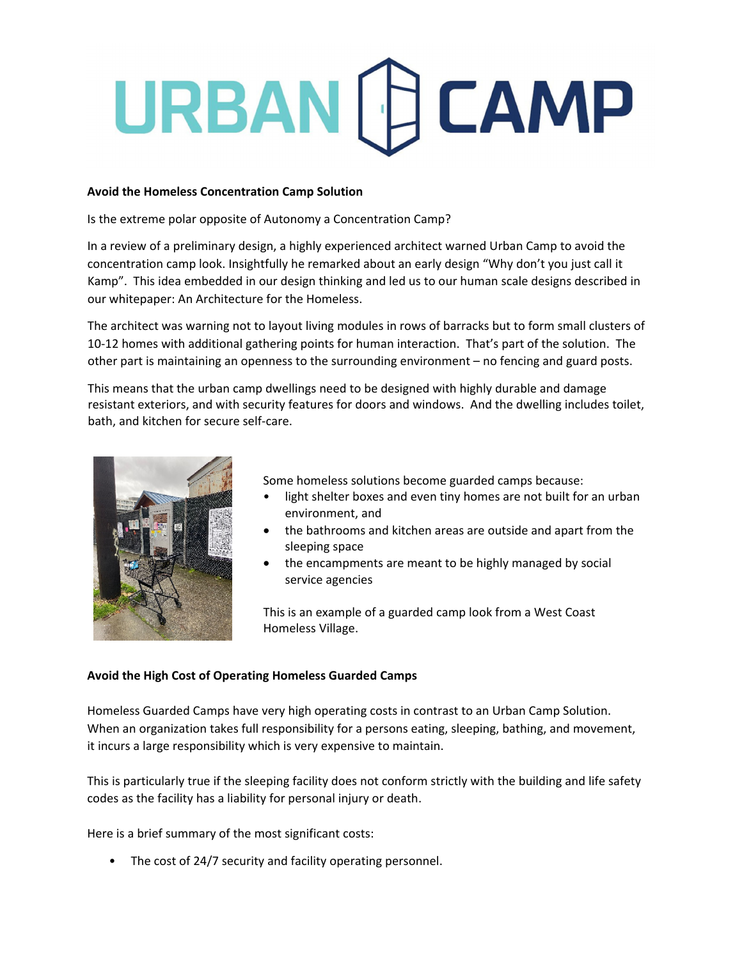# URBAN [C] CAMP

#### **Avoid the Homeless Concentration Camp Solution**

Is the extreme polar opposite of Autonomy a Concentration Camp?

In a review of a preliminary design, a highly experienced architect warned Urban Camp to avoid the concentration camp look. Insightfully he remarked about an early design "Why don't you just call it Kamp". This idea embedded in our design thinking and led us to our human scale designs described in our whitepaper: An Architecture for the Homeless.

The architect was warning not to layout living modules in rows of barracks but to form small clusters of 10-12 homes with additional gathering points for human interaction. That's part of the solution. The other part is maintaining an openness to the surrounding environment – no fencing and guard posts.

This means that the urban camp dwellings need to be designed with highly durable and damage resistant exteriors, and with security features for doors and windows. And the dwelling includes toilet, bath, and kitchen for secure self‐care.



Some homeless solutions become guarded camps because:

- light shelter boxes and even tiny homes are not built for an urban environment, and
- the bathrooms and kitchen areas are outside and apart from the sleeping space
- the encampments are meant to be highly managed by social service agencies

This is an example of a guarded camp look from a West Coast Homeless Village.

### **Avoid the High Cost of Operating Homeless Guarded Camps**

Homeless Guarded Camps have very high operating costs in contrast to an Urban Camp Solution. When an organization takes full responsibility for a persons eating, sleeping, bathing, and movement, it incurs a large responsibility which is very expensive to maintain.

This is particularly true if the sleeping facility does not conform strictly with the building and life safety codes as the facility has a liability for personal injury or death.

Here is a brief summary of the most significant costs:

• The cost of 24/7 security and facility operating personnel.